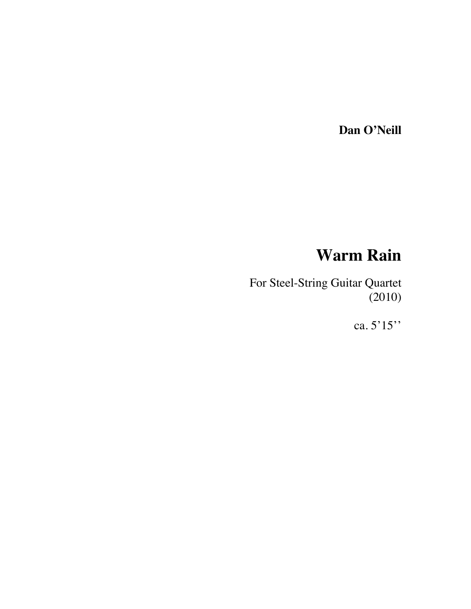**Dan O'Neill**

## **Warm Rain**

For Steel-String Guitar Quartet (2010)

ca. 5'15''